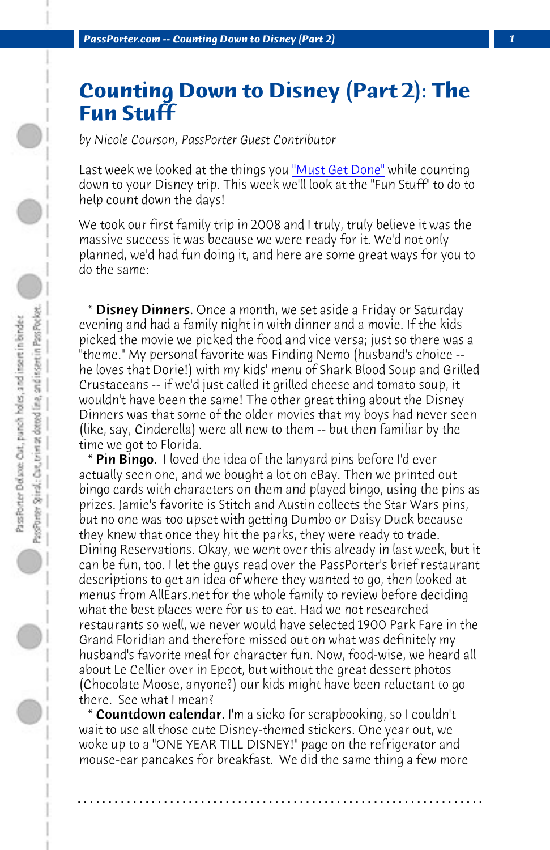**PassPorter.com -- Counting Down to Disney (Part 2)** 

## **Counting Down to Disney (Part 2): The Fun Stuff**

*by Nicole Courson, PassPorter Guest Contributor*

Last week we looked at the things you "Must Get Done" while counting down to your Disney trip. This week we'll look at the "Fun Stuff" to do to help count down the days!

We took our first family trip in 2008 and I truly, truly believe it was the massive success it was because we were ready for it. We'd not only planned, we'd had fun doing it, and here are some great ways for you to do the same:

\* Disney Dinners. Once a month, we set aside a Friday or Saturday evening and had a family night in with dinner and a movie. If the kids picked the movie we picked the food and vice versa; just so there was a "theme." My personal favorite was Finding Nemo (husband's choice - he loves that Dorie!) with my kids' menu of Shark Blood Soup and Grilled Crustaceans -- if we'd just called it grilled cheese and tomato soup, it wouldn't have been the same! The other great thing about the Disney Dinners was that some of the older movies that my boys had never seen (like, say, Cinderella) were all new to them -- but then familiar by the time we got to Florida.

\* Pin Bingo. I loved the idea of the lanyard pins before I'd ever actually seen one, and we bought a lot on eBay. Then we printed out bingo cards with characters on them and played bingo, using the pins as prizes. Jamie's favorite is Stitch and Austin collects the Star Wars pins, but no one was too upset with getting Dumbo or Daisy Duck because they knew that once they hit the parks, they were ready to trade. Dining Reservations. Okay, we went over this already in last week, but it can be fun, too. I let the guys read over the PassPorter's brief restaurant descriptions to get an idea of where they wanted to go, then looked at menus from AllEars.net for the whole family to review before deciding what the best places were for us to eat. Had we not researched restaurants so well, we never would have selected 1900 Park Fare in the Grand Floridian and therefore missed out on what was definitely my husband's favorite meal for character fun. Now, food-wise, we heard all about Le Cellier over in Epcot, but without the great dessert photos (Chocolate Moose, anyone?) our kids might have been reluctant to go there. See what I mean?

**Countdown calendar.** I'm a sicko for scrapbooking, so I couldn't wait to use all those cute Disney-themed stickers. One year out, we woke up to a "ONE YEAR TILL DISNEY!" page on the refrigerator and mouse-ear pancakes for breakfast. We did the same thing a few more

**. . . . . . . . . . . . . . . . . . . . . . . . . . . . . . . . . . . . . . . . . . . . . . . . . . . . . . . . . . . . . . . . . .**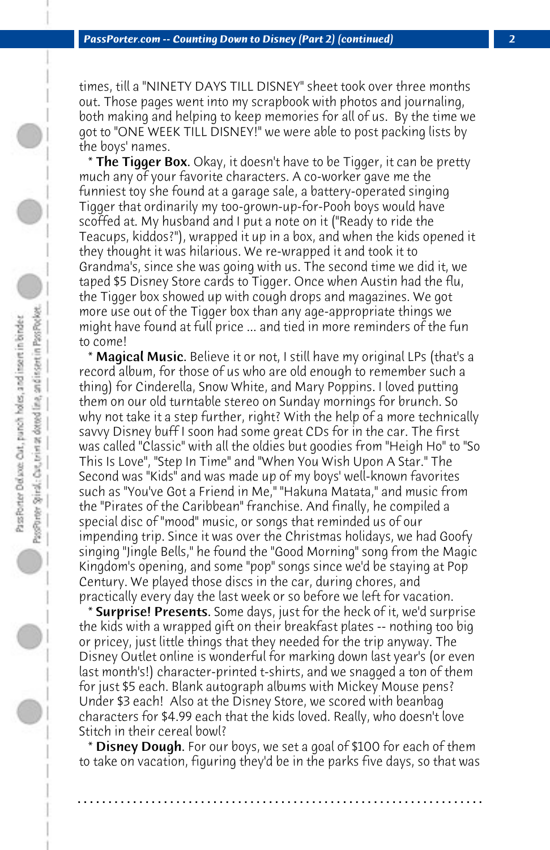times, till a "NINETY DAYS TILL DISNEY" sheet took over three months out. Those pages went into my scrapbook with photos and journaling, both making and helping to keep memories for all of us. By the time we got to "ONE WEEK TILL DISNEY!" we were able to post packing lists by the boys' names.

\* The Tigger Box. Okay, it doesn't have to be Tigger, it can be pretty much any of your favorite characters. A co-worker gave me the funniest toy she found at a garage sale, a battery-operated singing Tigger that ordinarily my too-grown-up-for-Pooh boys would have scoffed at. My husband and I put a note on it ("Ready to ride the Teacups, kiddos?"), wrapped it up in a box, and when the kids opened it they thought it was hilarious. We re-wrapped it and took it to Grandma's, since she was going with us. The second time we did it, we taped \$5 Disney Store cards to Tigger. Once when Austin had the flu, the Tigger box showed up with cough drops and magazines. We got more use out of the Tigger box than any age-appropriate things we might have found at full price ... and tied in more reminders of the fun to come!

 \* Magical Music. Believe it or not, I still have my original LPs (that's a record album, for those of us who are old enough to remember such a thing) for Cinderella, Snow White, and Mary Poppins. I loved putting them on our old turntable stereo on Sunday mornings for brunch. So why not take it a step further, right? With the help of a more technically savvy Disney buff I soon had some great CDs for in the car. The first was called "Classic" with all the oldies but goodies from "Heigh Ho" to "So This Is Love", "Step In Time" and "When You Wish Upon A Star." The Second was "Kids" and was made up of my boys' well-known favorites such as "You've Got a Friend in Me," "Hakuna Matata," and music from the "Pirates of the Caribbean" franchise. And finally, he compiled a special disc of "mood" music, or songs that reminded us of our impending trip. Since it was over the Christmas holidays, we had Goofy singing "Jingle Bells," he found the "Good Morning" song from the Magic Kingdom's opening, and some "pop" songs since we'd be staying at Pop Century. We played those discs in the car, during chores, and practically every day the last week or so before we left for vacation.

 \* Surprise! Presents. Some days, just for the heck of it, we'd surprise the kids with a wrapped gift on their breakfast plates -- nothing too big or pricey, just little things that they needed for the trip anyway. The Disney Outlet online is wonderful for marking down last year's (or even last month's!) character-printed t-shirts, and we snagged a ton of them for just \$5 each. Blank autograph albums with Mickey Mouse pens? Under \$3 each! Also at the Disney Store, we scored with beanbag characters for \$4.99 each that the kids loved. Really, who doesn't love Stitch in their cereal bowl?

\* **Disney Dough.** For our boys, we set a goal of \$100 for each of them to take on vacation, figuring they'd be in the parks five days, so that was

**. . . . . . . . . . . . . . . . . . . . . . . . . . . . . . . . . . . . . . . . . . . . . . . . . . . . . . . . . . . . . . . . . .**